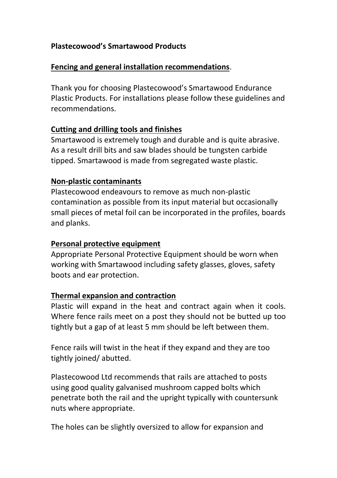# **Plastecowood's Smartawood Products**

#### **Fencing and general installation recommendations**.

Thank you for choosing Plastecowood's Smartawood Endurance Plastic Products. For installations please follow these guidelines and recommendations.

#### **Cutting and drilling tools and finishes**

Smartawood is extremely tough and durable and is quite abrasive. As a result drill bits and saw blades should be tungsten carbide tipped. Smartawood is made from segregated waste plastic.

## **Non-plastic contaminants**

Plastecowood endeavours to remove as much non-plastic contamination as possible from its input material but occasionally small pieces of metal foil can be incorporated in the profiles, boards and planks.

#### **Personal protective equipment**

Appropriate Personal Protective Equipment should be worn when working with Smartawood including safety glasses, gloves, safety boots and ear protection.

#### **Thermal expansion and contraction**

Plastic will expand in the heat and contract again when it cools. Where fence rails meet on a post they should not be butted up too tightly but a gap of at least 5 mm should be left between them.

Fence rails will twist in the heat if they expand and they are too tightly joined/ abutted.

Plastecowood Ltd recommends that rails are attached to posts using good quality galvanised mushroom capped bolts which penetrate both the rail and the upright typically with countersunk nuts where appropriate.

The holes can be slightly oversized to allow for expansion and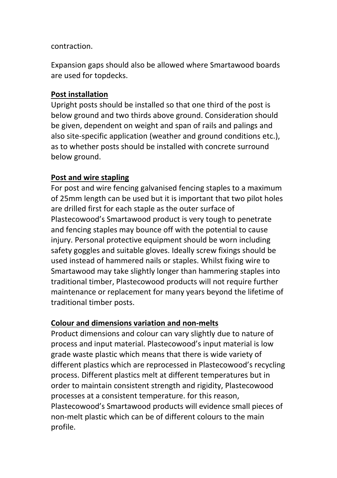#### contraction.

Expansion gaps should also be allowed where Smartawood boards are used for topdecks.

#### **Post installation**

Upright posts should be installed so that one third of the post is below ground and two thirds above ground. Consideration should be given, dependent on weight and span of rails and palings and also site-specific application (weather and ground conditions etc.), as to whether posts should be installed with concrete surround below ground.

## **Post and wire stapling**

For post and wire fencing galvanised fencing staples to a maximum of 25mm length can be used but it is important that two pilot holes are drilled first for each staple as the outer surface of Plastecowood's Smartawood product is very tough to penetrate and fencing staples may bounce off with the potential to cause injury. Personal protective equipment should be worn including safety goggles and suitable gloves. Ideally screw fixings should be used instead of hammered nails or staples. Whilst fixing wire to Smartawood may take slightly longer than hammering staples into traditional timber, Plastecowood products will not require further maintenance or replacement for many years beyond the lifetime of traditional timber posts.

# **Colour and dimensions variation and non-melts**

Product dimensions and colour can vary slightly due to nature of process and input material. Plastecowood's input material is low grade waste plastic which means that there is wide variety of different plastics which are reprocessed in Plastecowood's recycling process. Different plastics melt at different temperatures but in order to maintain consistent strength and rigidity, Plastecowood processes at a consistent temperature. for this reason, Plastecowood's Smartawood products will evidence small pieces of non-melt plastic which can be of different colours to the main profile.